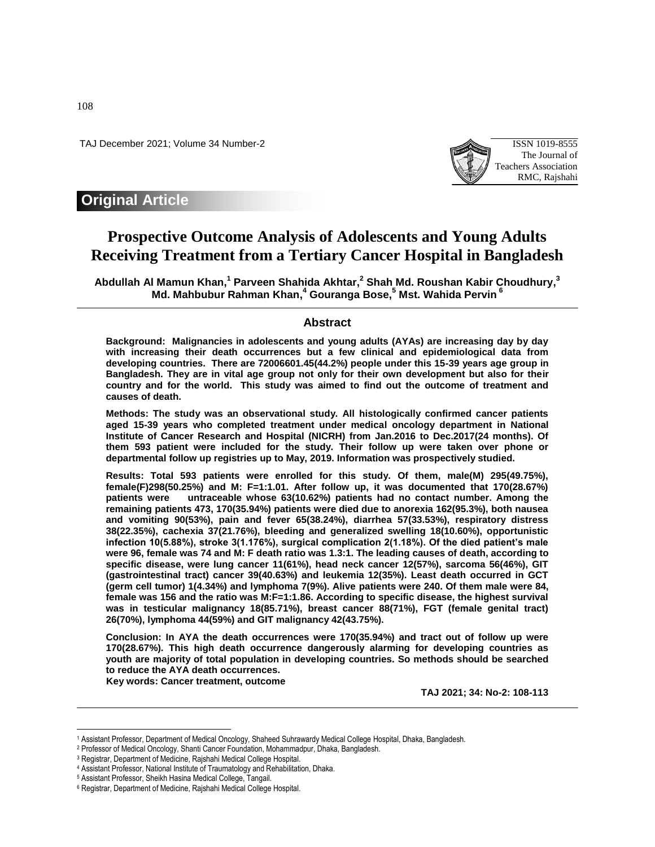TAJ December 2021; Volume 34 Number-2 ISSN 1019-8555



## **Original Article**

# **Prospective Outcome Analysis of Adolescents and Young Adults Receiving Treatment from a Tertiary Cancer Hospital in Bangladesh**

**Abdullah Al Mamun Khan, 1 Parveen Shahida Akhtar, 2 Shah Md. Roushan Kabir Choudhury, 3 Md. Mahbubur Rahman Khan, <sup>4</sup> Gouranga Bose, <sup>5</sup> Mst. Wahida Pervin <sup>6</sup>**

## **Abstract**

**Background: Malignancies in adolescents and young adults (AYAs) are increasing day by day with increasing their death occurrences but a few clinical and epidemiological data from developing countries. There are 72006601.45(44.2%) people under this 15-39 years age group in Bangladesh. They are in vital age group not only for their own development but also for their country and for the world. This study was aimed to find out the outcome of treatment and causes of death.** 

**Methods: The study was an observational study. All histologically confirmed cancer patients aged 15-39 years who completed treatment under medical oncology department in National Institute of Cancer Research and Hospital (NICRH) from Jan.2016 to Dec.2017(24 months). Of them 593 patient were included for the study. Their follow up were taken over phone or departmental follow up registries up to May, 2019. Information was prospectively studied.** 

**Results: Total 593 patients were enrolled for this study. Of them, male(M) 295(49.75%), female(F)298(50.25%) and M: F=1:1.01. After follow up, it was documented that 170(28.67%) patients were untraceable whose 63(10.62%) patients had no contact number. Among the remaining patients 473, 170(35.94%) patients were died due to anorexia 162(95.3%), both nausea and vomiting 90(53%), pain and fever 65(38.24%), diarrhea 57(33.53%), respiratory distress 38(22.35%), cachexia 37(21.76%), bleeding and generalized swelling 18(10.60%), opportunistic infection 10(5.88%), stroke 3(1.176%), surgical complication 2(1.18%). Of the died patient's male were 96, female was 74 and M: F death ratio was 1.3:1. The leading causes of death, according to specific disease, were lung cancer 11(61%), head neck cancer 12(57%), sarcoma 56(46%), GIT (gastrointestinal tract) cancer 39(40.63%) and leukemia 12(35%). Least death occurred in GCT (germ cell tumor) 1(4.34%) and lymphoma 7(9%). Alive patients were 240. Of them male were 84, female was 156 and the ratio was M:F=1:1.86. According to specific disease, the highest survival was in testicular malignancy 18(85.71%), breast cancer 88(71%), FGT (female genital tract) 26(70%), lymphoma 44(59%) and GIT malignancy 42(43.75%).** 

**Conclusion: In AYA the death occurrences were 170(35.94%) and tract out of follow up were 170(28.67%). This high death occurrence dangerously alarming for developing countries as youth are majority of total population in developing countries. So methods should be searched to reduce the AYA death occurrences.**

**Key words: Cancer treatment, outcome** 

**TAJ 2021; 34: No-2: 108-113**

 $\overline{\phantom{a}}$ 

<sup>1</sup> Assistant Professor, Department of Medical Oncology, Shaheed Suhrawardy Medical College Hospital, Dhaka, Bangladesh.

<sup>2</sup> Professor of Medical Oncology, Shanti Cancer Foundation, Mohammadpur, Dhaka, Bangladesh.

<sup>3</sup> Registrar, Department of Medicine, Rajshahi Medical College Hospital.

<sup>4</sup> Assistant Professor, National Institute of Traumatology and Rehabilitation, Dhaka.

<sup>5</sup> Assistant Professor, Sheikh Hasina Medical College, Tangail.

<sup>6</sup> Registrar, Department of Medicine, Rajshahi Medical College Hospital.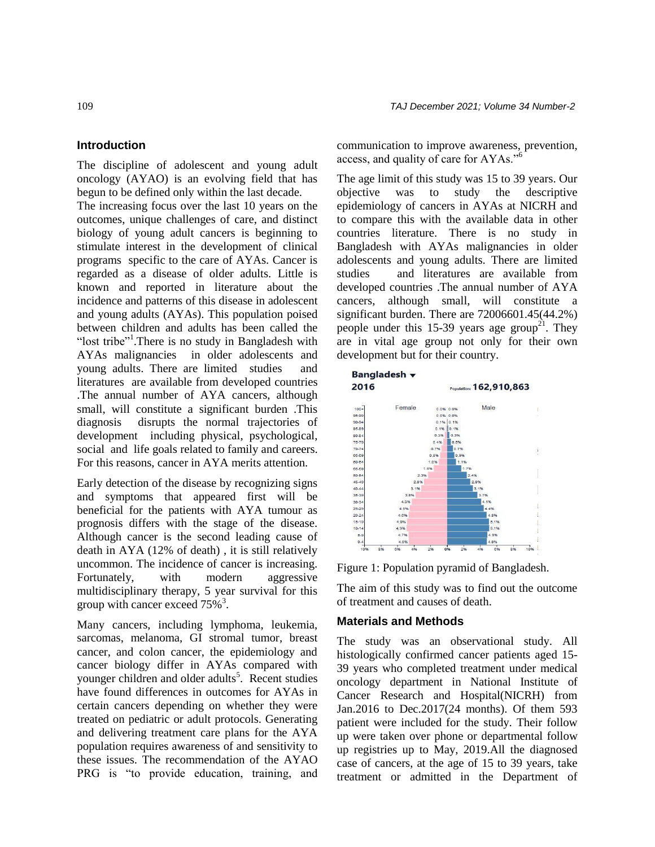## **Introduction**

The discipline of adolescent and young adult oncology (AYAO) is an evolving field that has begun to be defined only within the last decade.

The increasing focus over the last 10 years on the outcomes, unique challenges of care, and distinct biology of young adult cancers is beginning to stimulate interest in the development of clinical programs specific to the care of AYAs. Cancer is regarded as a disease of older adults. Little is known and reported in literature about the incidence and patterns of this disease in adolescent and young adults (AYAs). This population poised between children and adults has been called the "lost tribe"<sup>1</sup>. There is no study in Bangladesh with AYAs malignancies in older adolescents and young adults. There are limited studies and literatures are available from developed countries .The annual number of AYA cancers, although small, will constitute a significant burden .This diagnosis disrupts the normal trajectories of development including physical, psychological, social and life goals related to family and careers. For this reasons, cancer in AYA merits attention.

Early detection of the disease by recognizing signs and symptoms that appeared first will be beneficial for the patients with AYA tumour as prognosis differs with the stage of the disease. Although cancer is the second leading cause of death in AYA (12% of death) , it is still relatively uncommon. The incidence of cancer is increasing. Fortunately, with modern aggressive multidisciplinary therapy, 5 year survival for this group with cancer exceed 75%<sup>3</sup>.

Many cancers, including lymphoma, leukemia, sarcomas, melanoma, GI stromal tumor, breast cancer, and colon cancer, the epidemiology and cancer biology differ in AYAs compared with younger children and older adults<sup>5</sup>. Recent studies have found differences in outcomes for AYAs in certain cancers depending on whether they were treated on pediatric or adult protocols. Generating and delivering treatment care plans for the AYA population requires awareness of and sensitivity to these issues. The recommendation of the AYAO PRG is "to provide education, training, and communication to improve awareness, prevention, access, and quality of care for AYAs."<sup>6</sup>

The age limit of this study was 15 to 39 years. Our objective was to study the descriptive epidemiology of cancers in AYAs at NICRH and to compare this with the available data in other countries literature. There is no study in Bangladesh with AYAs malignancies in older adolescents and young adults. There are limited studies and literatures are available from developed countries .The annual number of AYA cancers, although small, will constitute a significant burden. There are 72006601.45(44.2%) people under this 15-39 years age group<sup>21</sup>. They are in vital age group not only for their own development but for their country.



Figure 1: Population pyramid of Bangladesh.

The aim of this study was to find out the outcome of treatment and causes of death.

#### **Materials and Methods**

The study was an observational study. All histologically confirmed cancer patients aged 15- 39 years who completed treatment under medical oncology department in National Institute of Cancer Research and Hospital(NICRH) from Jan.2016 to Dec.2017(24 months). Of them 593 patient were included for the study. Their follow up were taken over phone or departmental follow up registries up to May, 2019.All the diagnosed case of cancers, at the age of 15 to 39 years, take treatment or admitted in the Department of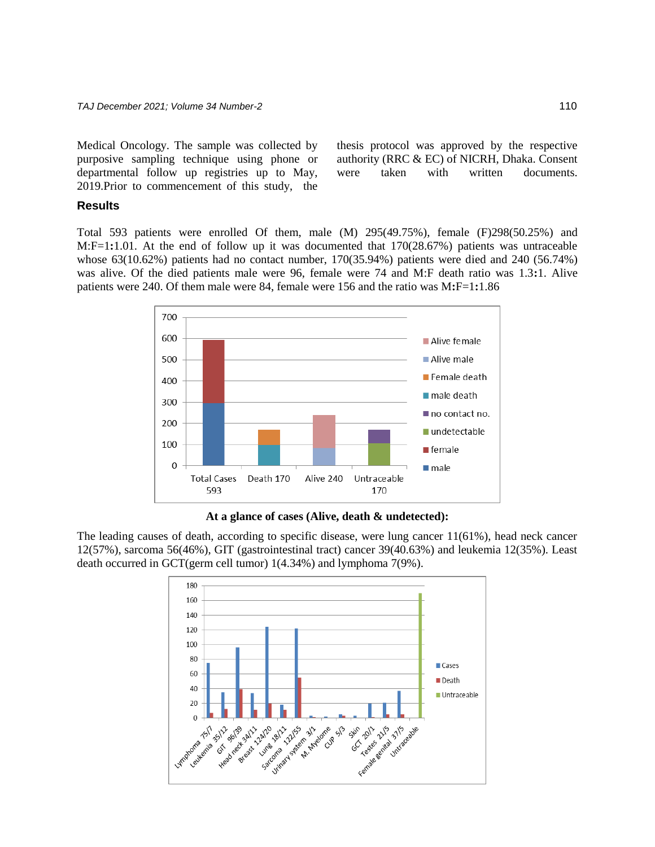Medical Oncology. The sample was collected by purposive sampling technique using phone or departmental follow up registries up to May, 2019.Prior to commencement of this study, the

thesis protocol was approved by the respective authority (RRC & EC) of NICRH, Dhaka. Consent were taken with written documents.

## **Results**

Total 593 patients were enrolled Of them, male (M) 295(49.75%), female (F)298(50.25%) and M:F=1**:**1.01. At the end of follow up it was documented that 170(28.67%) patients was untraceable whose 63(10.62%) patients had no contact number, 170(35.94%) patients were died and 240 (56.74%) was alive. Of the died patients male were 96, female were 74 and M:F death ratio was 1.3**:**1. Alive patients were 240. Of them male were 84, female were 156 and the ratio was M**:**F=1**:**1.86



**At a glance of cases (Alive, death & undetected):**

The leading causes of death, according to specific disease, were lung cancer 11(61%), head neck cancer 12(57%), sarcoma 56(46%), GIT (gastrointestinal tract) cancer 39(40.63%) and leukemia 12(35%). Least death occurred in GCT(germ cell tumor) 1(4.34%) and lymphoma 7(9%).

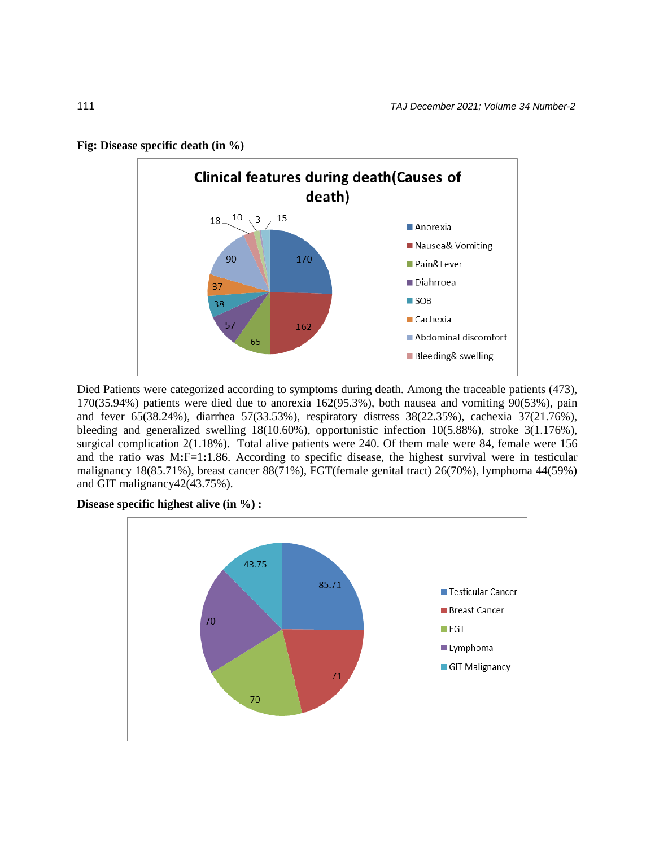

**Fig: Disease specific death (in %)** 

Died Patients were categorized according to symptoms during death. Among the traceable patients (473), 170(35.94%) patients were died due to anorexia 162(95.3%), both nausea and vomiting 90(53%), pain and fever 65(38.24%), diarrhea 57(33.53%), respiratory distress 38(22.35%), cachexia 37(21.76%), bleeding and generalized swelling 18(10.60%), opportunistic infection 10(5.88%), stroke 3(1.176%), surgical complication 2(1.18%). Total alive patients were 240. Of them male were 84, female were 156 and the ratio was M**:**F=1**:**1.86. According to specific disease, the highest survival were in testicular malignancy 18(85.71%), breast cancer 88(71%), FGT(female genital tract) 26(70%), lymphoma 44(59%) and GIT malignancy42(43.75%).

**Disease specific highest alive (in %) :**

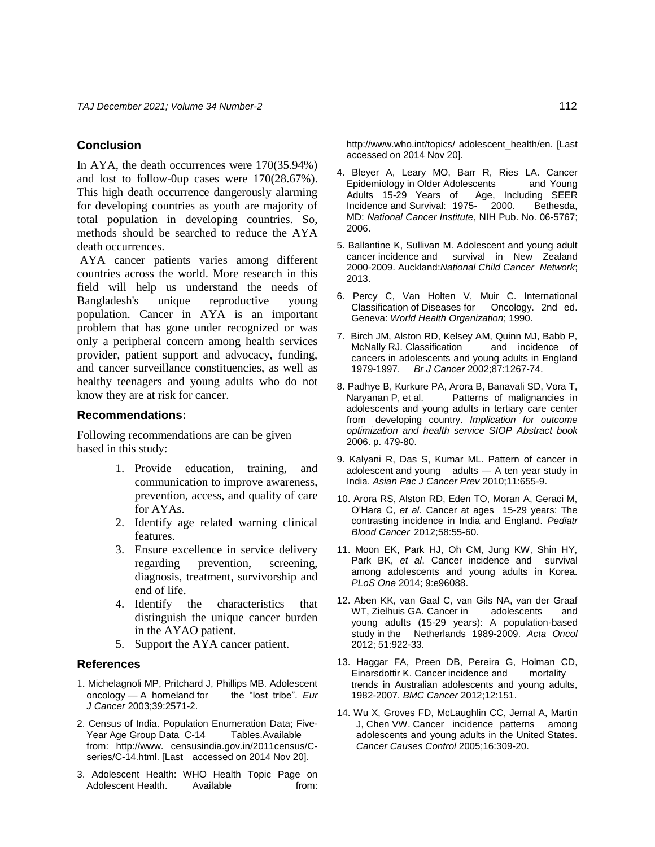## **Conclusion**

In AYA, the death occurrences were 170(35.94%) and lost to follow-0up cases were 170(28.67%). This high death occurrence dangerously alarming for developing countries as youth are majority of total population in developing countries. So, methods should be searched to reduce the AYA death occurrences.

AYA cancer patients varies among different countries across the world. More research in this field will help us understand the needs of Bangladesh's unique reproductive young population. Cancer in AYA is an important problem that has gone under recognized or was only a peripheral concern among health services provider, patient support and advocacy, funding, and cancer surveillance constituencies, as well as healthy teenagers and young adults who do not know they are at risk for cancer.

#### **Recommendations:**

Following recommendations are can be given based in this study:

- 1. Provide education, training, and communication to improve awareness, prevention, access, and quality of care for AYAs.
- 2. Identify age related warning clinical features.
- 3. Ensure excellence in service delivery regarding prevention, screening, diagnosis, treatment, survivorship and end of life.
- 4. Identify the characteristics that distinguish the unique cancer burden in the AYAO patient.
- 5. Support the AYA cancer patient.

## **References**

- 1. Michelagnoli MP, Pritchard J, Phillips MB. Adolescent oncology A homeland for the "lost tribe". Eur oncology — A homeland for *J Cancer* 2003;39:2571-2.
- 2. Census of India. Population Enumeration Data; Five-Year Age Group Data C-14 Tables.Available from: [http://www.](http://www/) censusindia.gov.in/2011census/Cseries/C-14.html. [Last accessed on 2014 Nov 20].
- 3. Adolescent Health: WHO Health Topic Page on Adolescent Health. Available **From:**

<http://www.who.int/topics/> adolescent\_health/en. [Last accessed on 2014 Nov 20].

- 4. Bleyer A, Leary MO, Barr R, Ries LA. Cancer Epidemiology in Older Adolescents and Young Adults 15-29 Years of Age, Including SEER Incidence and Survival: 1975- 2000. Bethesda, MD: *National Cancer Institute*, NIH Pub. No. 06-5767; 2006.
- 5. Ballantine K, Sullivan M. Adolescent and young adult cancer incidence and survival in New Zealand 2000-2009. Auckland:*National Child Cancer Network*; 2013.
- 6. Percy C, Van Holten V, Muir C. International Classification of Diseases for Oncology. 2nd ed. Geneva: *World Health Organization*; 1990.
- 7. Birch JM, Alston RD, Kelsey AM, Quinn MJ, Babb P, McNally RJ. Classification and incidence of cancers in adolescents and young adults in England 1979-1997. *Br J Cancer* 2002;87:1267-74.
- 8. Padhye B, Kurkure PA, Arora B, Banavali SD, Vora T, Naryanan P, et al. Patterns of malignancies in adolescents and young adults in tertiary care center from developing country. *Implication for outcome optimization and health service SIOP Abstract book* 2006. p. 479-80.
- 9. Kalyani R, Das S, Kumar ML. Pattern of cancer in adolescent and young adults — A ten year study in India. *Asian Pac J Cancer Prev* 2010;11:655-9.
- 10. Arora RS, Alston RD, Eden TO, Moran A, Geraci M, O'Hara C, *et al*. Cancer at ages 15-29 years: The contrasting incidence in India and England. *Pediatr Blood Cancer* 2012;58:55-60.
- 11. Moon EK, Park HJ, Oh CM, Jung KW, Shin HY, Park BK, *et al*. Cancer incidence and survival among adolescents and young adults in Korea. *PLoS One* 2014; 9:e96088.
- 12. Aben KK, van Gaal C, van Gils NA, van der Graaf WT, Zielhuis GA. Cancer in adolescents and young adults (15-29 years): A population-based study in the Netherlands 1989-2009. *Acta Oncol* 2012; 51:922-33.
- 13. Haggar FA, Preen DB, Pereira G, Holman CD, Einarsdottir K. Cancer incidence and mortality trends in Australian adolescents and young adults, 1982-2007. *BMC Cancer* 2012;12:151.
- 14. Wu X, Groves FD, McLaughlin CC, Jemal A, Martin J, Chen VW. Cancer incidence patterns among adolescents and young adults in the United States. *Cancer Causes Control* 2005;16:309-20.